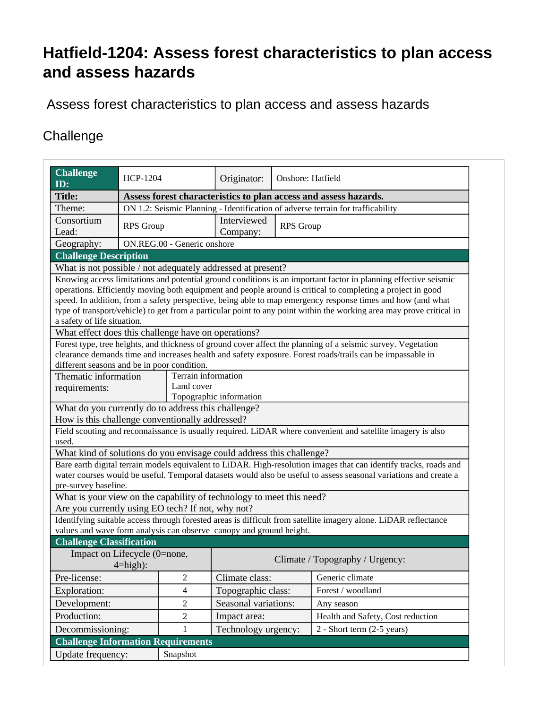## **Hatfield-1204: Assess forest characteristics to plan access and assess hazards**

Assess forest characteristics to plan access and assess hazards

## **Challenge**

| <b>Challenge</b><br>ID:                                              | <b>HCP-1204</b>                                                                 |                | Originator:                     | Onshore: Hatfield |                                                                                                                                                                                                                                                                                                                                                                                                                                                                       |  |  |
|----------------------------------------------------------------------|---------------------------------------------------------------------------------|----------------|---------------------------------|-------------------|-----------------------------------------------------------------------------------------------------------------------------------------------------------------------------------------------------------------------------------------------------------------------------------------------------------------------------------------------------------------------------------------------------------------------------------------------------------------------|--|--|
| <b>Title:</b>                                                        | Assess forest characteristics to plan access and assess hazards.                |                |                                 |                   |                                                                                                                                                                                                                                                                                                                                                                                                                                                                       |  |  |
| Theme:                                                               | ON 1.2: Seismic Planning - Identification of adverse terrain for trafficability |                |                                 |                   |                                                                                                                                                                                                                                                                                                                                                                                                                                                                       |  |  |
| Consortium                                                           | <b>RPS</b> Group                                                                |                | Interviewed<br><b>RPS</b> Group |                   |                                                                                                                                                                                                                                                                                                                                                                                                                                                                       |  |  |
| Lead:                                                                |                                                                                 |                | Company:                        |                   |                                                                                                                                                                                                                                                                                                                                                                                                                                                                       |  |  |
| Geography:                                                           | ON.REG.00 - Generic onshore                                                     |                |                                 |                   |                                                                                                                                                                                                                                                                                                                                                                                                                                                                       |  |  |
| <b>Challenge Description</b>                                         |                                                                                 |                |                                 |                   |                                                                                                                                                                                                                                                                                                                                                                                                                                                                       |  |  |
| What is not possible / not adequately addressed at present?          |                                                                                 |                |                                 |                   |                                                                                                                                                                                                                                                                                                                                                                                                                                                                       |  |  |
| a safety of life situation.                                          |                                                                                 |                |                                 |                   | Knowing access limitations and potential ground conditions is an important factor in planning effective seismic<br>operations. Efficiently moving both equipment and people around is critical to completing a project in good<br>speed. In addition, from a safety perspective, being able to map emergency response times and how (and what<br>type of transport/vehicle) to get from a particular point to any point within the working area may prove critical in |  |  |
| What effect does this challenge have on operations?                  |                                                                                 |                |                                 |                   | Forest type, tree heights, and thickness of ground cover affect the planning of a seismic survey. Vegetation                                                                                                                                                                                                                                                                                                                                                          |  |  |
| different seasons and be in poor condition.                          |                                                                                 |                |                                 |                   | clearance demands time and increases health and safety exposure. Forest roads/trails can be impassable in                                                                                                                                                                                                                                                                                                                                                             |  |  |
| Thematic information                                                 | Terrain information                                                             |                |                                 |                   |                                                                                                                                                                                                                                                                                                                                                                                                                                                                       |  |  |
| requirements:                                                        |                                                                                 | Land cover     |                                 |                   |                                                                                                                                                                                                                                                                                                                                                                                                                                                                       |  |  |
|                                                                      |                                                                                 |                | Topographic information         |                   |                                                                                                                                                                                                                                                                                                                                                                                                                                                                       |  |  |
| What do you currently do to address this challenge?                  |                                                                                 |                |                                 |                   |                                                                                                                                                                                                                                                                                                                                                                                                                                                                       |  |  |
| How is this challenge conventionally addressed?                      |                                                                                 |                |                                 |                   |                                                                                                                                                                                                                                                                                                                                                                                                                                                                       |  |  |
| used.                                                                |                                                                                 |                |                                 |                   | Field scouting and reconnaissance is usually required. LiDAR where convenient and satellite imagery is also                                                                                                                                                                                                                                                                                                                                                           |  |  |
| What kind of solutions do you envisage could address this challenge? |                                                                                 |                |                                 |                   |                                                                                                                                                                                                                                                                                                                                                                                                                                                                       |  |  |
| pre-survey baseline.                                                 |                                                                                 |                |                                 |                   | Bare earth digital terrain models equivalent to LiDAR. High-resolution images that can identify tracks, roads and<br>water courses would be useful. Temporal datasets would also be useful to assess seasonal variations and create a                                                                                                                                                                                                                                 |  |  |
| What is your view on the capability of technology to meet this need? |                                                                                 |                |                                 |                   |                                                                                                                                                                                                                                                                                                                                                                                                                                                                       |  |  |
| Are you currently using EO tech? If not, why not?                    |                                                                                 |                |                                 |                   |                                                                                                                                                                                                                                                                                                                                                                                                                                                                       |  |  |
|                                                                      |                                                                                 |                |                                 |                   | Identifying suitable access through forested areas is difficult from satellite imagery alone. LiDAR reflectance                                                                                                                                                                                                                                                                                                                                                       |  |  |
| values and wave form analysis can observe canopy and ground height.  |                                                                                 |                |                                 |                   |                                                                                                                                                                                                                                                                                                                                                                                                                                                                       |  |  |
| <b>Challenge Classification</b>                                      |                                                                                 |                |                                 |                   |                                                                                                                                                                                                                                                                                                                                                                                                                                                                       |  |  |
| Impact on Lifecycle (0=none,<br>$4 = high$ :                         |                                                                                 |                | Climate / Topography / Urgency: |                   |                                                                                                                                                                                                                                                                                                                                                                                                                                                                       |  |  |
| Pre-license:                                                         |                                                                                 | $\mathbf{2}$   | Climate class:                  |                   | Generic climate                                                                                                                                                                                                                                                                                                                                                                                                                                                       |  |  |
| Exploration:                                                         |                                                                                 | $\overline{4}$ | Topographic class:              |                   | Forest / woodland                                                                                                                                                                                                                                                                                                                                                                                                                                                     |  |  |
| Development:                                                         |                                                                                 | $\overline{2}$ | Seasonal variations:            |                   | Any season                                                                                                                                                                                                                                                                                                                                                                                                                                                            |  |  |
| Production:                                                          |                                                                                 | $\mathbf{2}$   | Impact area:                    |                   | Health and Safety, Cost reduction                                                                                                                                                                                                                                                                                                                                                                                                                                     |  |  |
| Decommissioning:                                                     |                                                                                 | 1              | Technology urgency:             |                   | $2 - Short term (2-5 years)$                                                                                                                                                                                                                                                                                                                                                                                                                                          |  |  |
| <b>Challenge Information Requirements</b>                            |                                                                                 |                |                                 |                   |                                                                                                                                                                                                                                                                                                                                                                                                                                                                       |  |  |
| Update frequency:                                                    |                                                                                 | Snapshot       |                                 |                   |                                                                                                                                                                                                                                                                                                                                                                                                                                                                       |  |  |